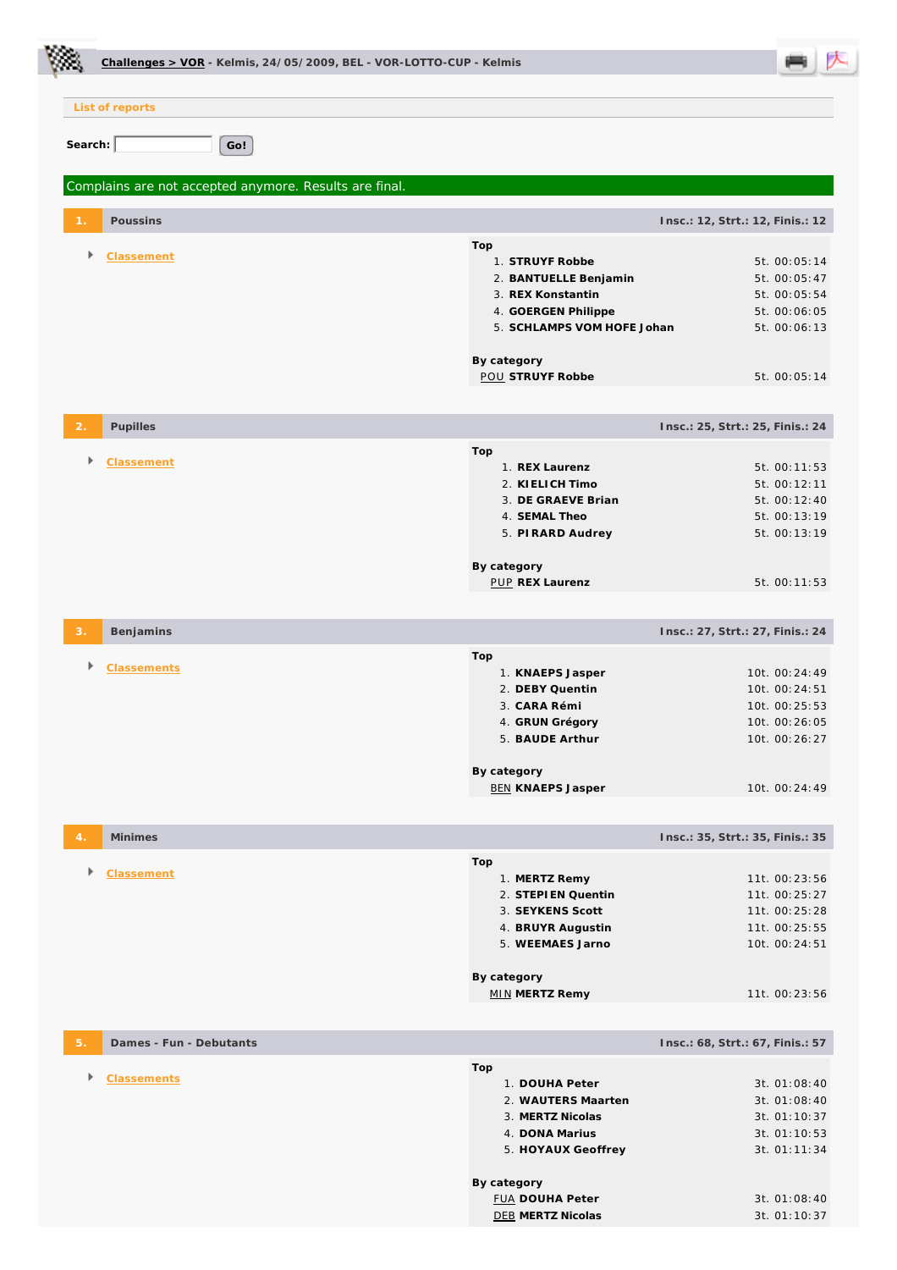|                | Challenges > VOR - Kelmis, 24/05/2009, BEL - VOR-LOTTO-CUP - Kelmis |  |                                                                                                                                                                              |                                  |                                                                                                              |
|----------------|---------------------------------------------------------------------|--|------------------------------------------------------------------------------------------------------------------------------------------------------------------------------|----------------------------------|--------------------------------------------------------------------------------------------------------------|
|                | List of reports                                                     |  |                                                                                                                                                                              |                                  |                                                                                                              |
| Search:        | Go!                                                                 |  |                                                                                                                                                                              |                                  |                                                                                                              |
|                | Complains are not accepted anymore. Results are final.              |  |                                                                                                                                                                              |                                  |                                                                                                              |
|                | Poussins                                                            |  |                                                                                                                                                                              | Insc.: 12, Strt.: 12, Finis.: 12 |                                                                                                              |
| Þ              | Classement                                                          |  | Top<br>1. STRUYF Robbe<br>2. BANTUELLE Benjamin<br>3. REX Konstantin<br>4. GOERGEN Philippe<br>5. SCHLAMPS VOM HOFE Johan<br>By category<br><b>POU STRUYF Robbe</b>          |                                  | 5t. 00:05:14<br>5t. 00:05:47<br>5t. 00:05:54<br>5t. 00:06:05<br>5t. 00:06:13<br>5t. 00:05:14                 |
| $\overline{2}$ | Pupilles                                                            |  |                                                                                                                                                                              | Insc.: 25, Strt.: 25, Finis.: 24 |                                                                                                              |
|                | <b>Classement</b>                                                   |  | Top<br>1. REX Laurenz<br>2. KI ELICH Timo<br>3. DE GRAEVE Brian<br>4. SEMAL Theo<br>5. PIRARD Audrey<br>By category<br><b>PUP REX Laurenz</b>                                |                                  | 5t. 00:11:53<br>5t. 00:12:11<br>5t. 00:12:40<br>5t. 00:13:19<br>5t. 00:13:19<br>5t. 00:11:53                 |
| З.             | Benjamins                                                           |  |                                                                                                                                                                              | Insc.: 27, Strt.: 27, Finis.: 24 |                                                                                                              |
|                | <b>Classements</b>                                                  |  | Top<br>1. KNAEPS Jasper<br>2. DEBY Quentin<br>3. CARA Rémi<br>4. GRUN Grégory<br>5. BAUDE Arthur<br>By category<br><b>BEN KNAEPS Jasper</b>                                  |                                  | 10t. 00:24:49<br>10t. 00:24:51<br>10t. 00:25:53<br>10t. 00:26:05<br>10t. 00:26:27<br>10t. 00:24:49           |
|                | Minimes                                                             |  |                                                                                                                                                                              | Insc.: 35, Strt.: 35, Finis.: 35 |                                                                                                              |
| Þ              | Classement                                                          |  | Top<br>1. MERTZ Remy<br>2. STEPIEN Quentin<br>3. SEYKENS Scott<br>4. BRUYR Augustin<br>5. WEEMAES Jarno                                                                      |                                  | 11t. 00:23:56<br>11t. 00:25:27<br>11t. 00:25:28<br>11t. 00:25:55<br>10t. 00:24:51                            |
|                |                                                                     |  | By category<br><b>MIN MERTZ Remy</b>                                                                                                                                         |                                  | 11t. 00:23:56                                                                                                |
| 5.             | Dames - Fun - Debutants                                             |  |                                                                                                                                                                              | Insc.: 68, Strt.: 67, Finis.: 57 |                                                                                                              |
| Þ              | <b>Classements</b>                                                  |  | Top<br>1. DOUHA Peter<br>2. WAUTERS Maarten<br>3. MERTZ Nicolas<br>4. DONA Marius<br>5. HOYAUX Geoffrey<br>By category<br><b>FUA DOUHA Peter</b><br><b>DEB MERTZ Nicolas</b> |                                  | 3t. 01:08:40<br>3t. 01:08:40<br>3t. 01:10:37<br>3t. 01:10:53<br>3t. 01:11:34<br>3t. 01:08:40<br>3t. 01:10:37 |

Ċ.